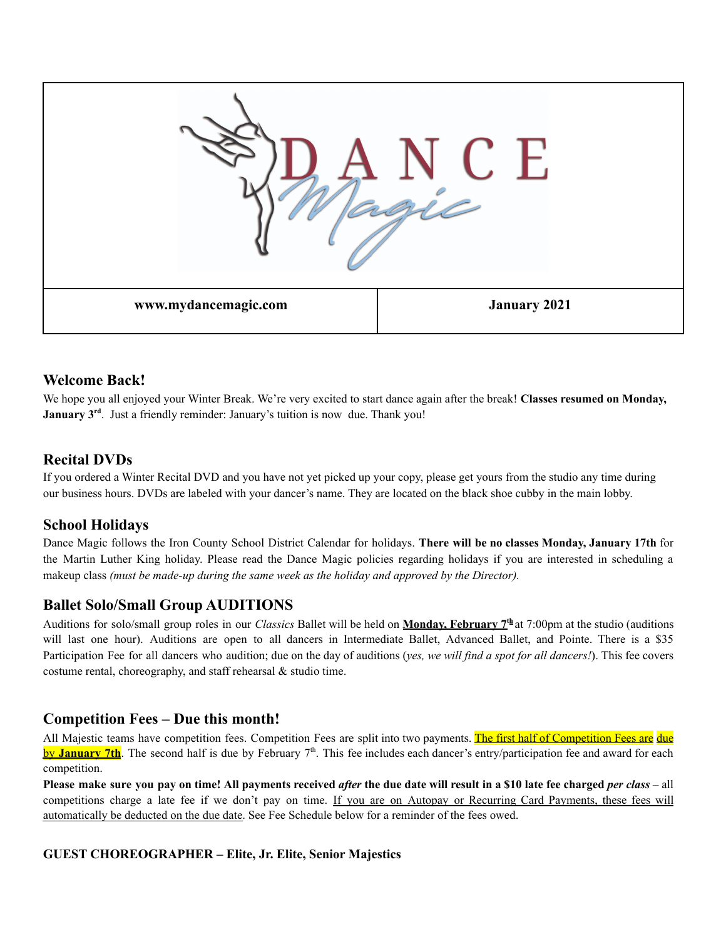

### **Welcome Back!**

We hope you all enjoyed your Winter Break. We're very excited to start dance again after the break! **Classes resumed on Monday, January** 3<sup>rd</sup>. Just a friendly reminder: January's tuition is now due. Thank you!

## **Recital DVDs**

If you ordered a Winter Recital DVD and you have not yet picked up your copy, please get yours from the studio any time during our business hours. DVDs are labeled with your dancer's name. They are located on the black shoe cubby in the main lobby.

### **School Holidays**

Dance Magic follows the Iron County School District Calendar for holidays. **There will be no classes Monday, January 17th** for the Martin Luther King holiday. Please read the Dance Magic policies regarding holidays if you are interested in scheduling a makeup class *(must be made-up during the same week as the holiday and approved by the Director).*

### **Ballet Solo/Small Group AUDITIONS**

Auditions for solo/small group roles in our *Classics* Ballet will be held on **Monday, February 7 th** at 7:00pm at the studio (auditions will last one hour). Auditions are open to all dancers in Intermediate Ballet, Advanced Ballet, and Pointe. There is a \$35 Participation Fee for all dancers who audition; due on the day of auditions (*yes, we will find a spot for all dancers!*). This fee covers costume rental, choreography, and staff rehearsal & studio time.

### **Competition Fees – Due this month!**

All Majestic teams have competition fees. Competition Fees are split into two payments. The first half of Competition Fees are due by **January 7th**. The second half is due by February 7<sup>th</sup>. This fee includes each dancer's entry/participation fee and award for each competition.

Please make sure you pay on time! All payments received *after* the due date will result in a \$10 late fee charged *per class* – all competitions charge a late fee if we don't pay on time. If you are on Autopay or Recurring Card Payments, these fees will automatically be deducted on the due date. See Fee Schedule below for a reminder of the fees owed.

#### **GUEST CHOREOGRAPHER – Elite, Jr. Elite, Senior Majestics**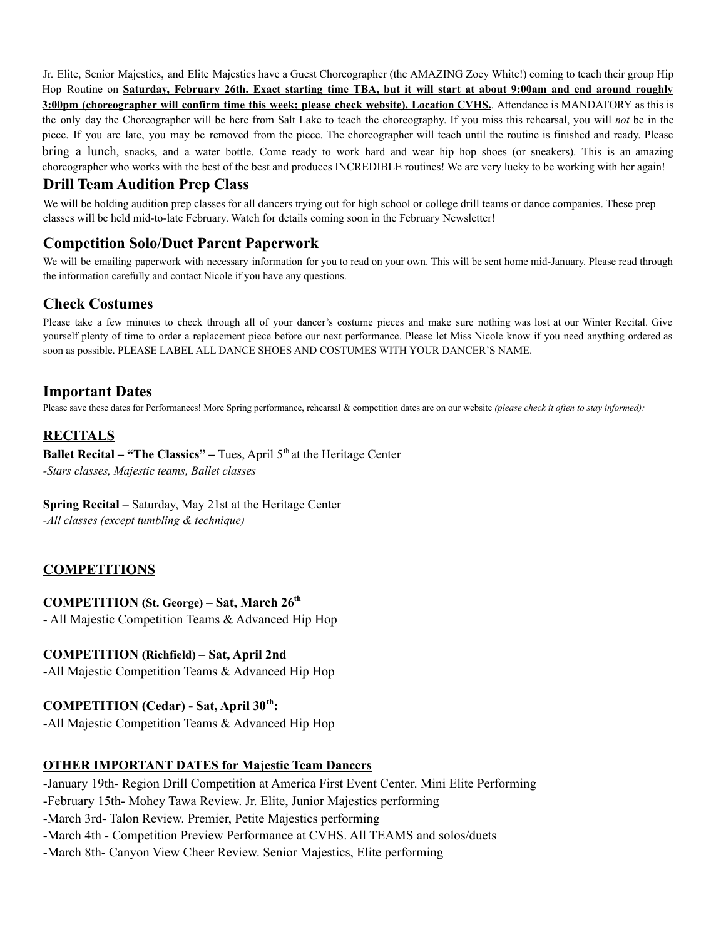Jr. Elite, Senior Majestics, and Elite Majestics have a Guest Choreographer (the AMAZING Zoey White!) coming to teach their group Hip Hop Routine on Saturday, February 26th. Exact starting time TBA, but it will start at about 9:00am and end around roughly **3:00pm (choreographer will confirm time this week; please check website). Location CVHS.**. Attendance is MANDATORY as this is the only day the Choreographer will be here from Salt Lake to teach the choreography. If you miss this rehearsal, you will *not* be in the piece. If you are late, you may be removed from the piece. The choreographer will teach until the routine is finished and ready. Please bring a lunch, snacks, and a water bottle. Come ready to work hard and wear hip hop shoes (or sneakers). This is an amazing choreographer who works with the best of the best and produces INCREDIBLE routines! We are very lucky to be working with her again!

## **Drill Team Audition Prep Class**

We will be holding audition prep classes for all dancers trying out for high school or college drill teams or dance companies. These prep classes will be held mid-to-late February. Watch for details coming soon in the February Newsletter!

## **Competition Solo/Duet Parent Paperwork**

We will be emailing paperwork with necessary information for you to read on your own. This will be sent home mid-January. Please read through the information carefully and contact Nicole if you have any questions.

# **Check Costumes**

Please take a few minutes to check through all of your dancer's costume pieces and make sure nothing was lost at our Winter Recital. Give yourself plenty of time to order a replacement piece before our next performance. Please let Miss Nicole know if you need anything ordered as soon as possible. PLEASE LABEL ALL DANCE SHOES AND COSTUMES WITH YOUR DANCER'S NAME.

### **Important Dates**

Please save these dates for Performances! More Spring performance, rehearsal & competition dates are on our website *(please check it often to stay informed):*

## **RECITALS**

**Ballet Recital – "The Classics" –** Tues, April 5<sup>th</sup> at the Heritage Center *-Stars classes, Majestic teams, Ballet classes*

**Spring Recital** – Saturday, May 21st at the Heritage Center

*-All classes (except tumbling & technique)*

### **COMPETITIONS**

#### **COMPETITION (St. George) – Sat, March 26 th**

- All Majestic Competition Teams & Advanced Hip Hop

#### **COMPETITION (Richfield) – Sat, April 2nd**

-All Majestic Competition Teams & Advanced Hip Hop

#### **COMPETITION (Cedar) - Sat, April 30 th :**

-All Majestic Competition Teams & Advanced Hip Hop

#### **OTHER IMPORTANT DATES for Majestic Team Dancers**

-January 19th- Region Drill Competition at America First Event Center. Mini Elite Performing -February 15th- Mohey Tawa Review. Jr. Elite, Junior Majestics performing -March 3rd- Talon Review. Premier, Petite Majestics performing -March 4th - Competition Preview Performance at CVHS. All TEAMS and solos/duets -March 8th- Canyon View Cheer Review. Senior Majestics, Elite performing